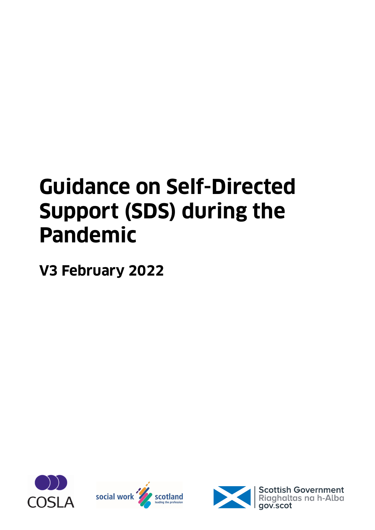# **Guidance on Self-Directed Support (SDS) during the Pandemic**

**V3 February 2022**







**Scottish Government**<br>Riaghaltas na h-Alba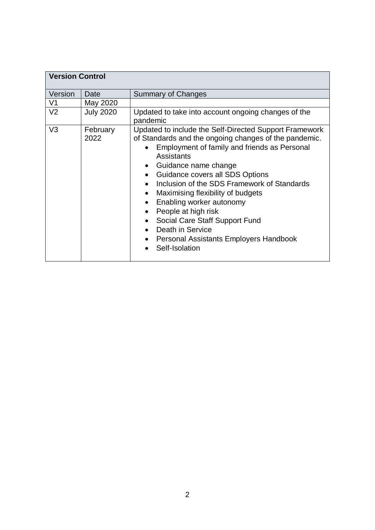| <b>Version Control</b> |                  |                                                                                                                                                                                                                                                                                                                                                                                                                                                                                                   |  |
|------------------------|------------------|---------------------------------------------------------------------------------------------------------------------------------------------------------------------------------------------------------------------------------------------------------------------------------------------------------------------------------------------------------------------------------------------------------------------------------------------------------------------------------------------------|--|
| Version                | Date             | <b>Summary of Changes</b>                                                                                                                                                                                                                                                                                                                                                                                                                                                                         |  |
| V <sub>1</sub>         | May 2020         |                                                                                                                                                                                                                                                                                                                                                                                                                                                                                                   |  |
| V <sub>2</sub>         | <b>July 2020</b> | Updated to take into account ongoing changes of the<br>pandemic                                                                                                                                                                                                                                                                                                                                                                                                                                   |  |
| V <sub>3</sub>         | February<br>2022 | Updated to include the Self-Directed Support Framework<br>of Standards and the ongoing changes of the pandemic.<br>Employment of family and friends as Personal<br>Assistants<br>Guidance name change<br>Guidance covers all SDS Options<br>Inclusion of the SDS Framework of Standards<br>Maximising flexibility of budgets<br>Enabling worker autonomy<br>People at high risk<br>Social Care Staff Support Fund<br>Death in Service<br>Personal Assistants Employers Handbook<br>Self-Isolation |  |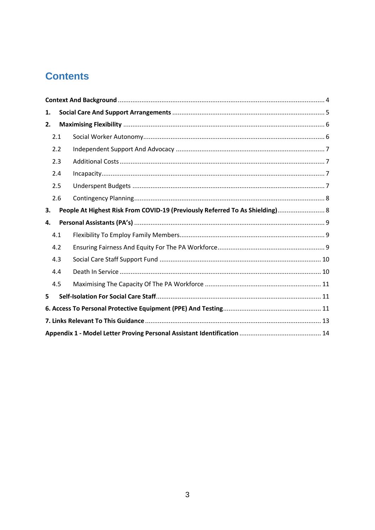## **Contents**

| 1.                                                                                 |  |  |  |
|------------------------------------------------------------------------------------|--|--|--|
| 2.                                                                                 |  |  |  |
| 2.1                                                                                |  |  |  |
| 2.2                                                                                |  |  |  |
| 2.3                                                                                |  |  |  |
| 2.4                                                                                |  |  |  |
| 2.5                                                                                |  |  |  |
| 2.6                                                                                |  |  |  |
| People At Highest Risk From COVID-19 (Previously Referred To As Shielding) 8<br>З. |  |  |  |
| 4.                                                                                 |  |  |  |
| 4.1                                                                                |  |  |  |
| 4.2                                                                                |  |  |  |
| 4.3                                                                                |  |  |  |
| 4.4                                                                                |  |  |  |
| 4.5                                                                                |  |  |  |
| 5                                                                                  |  |  |  |
|                                                                                    |  |  |  |
|                                                                                    |  |  |  |
|                                                                                    |  |  |  |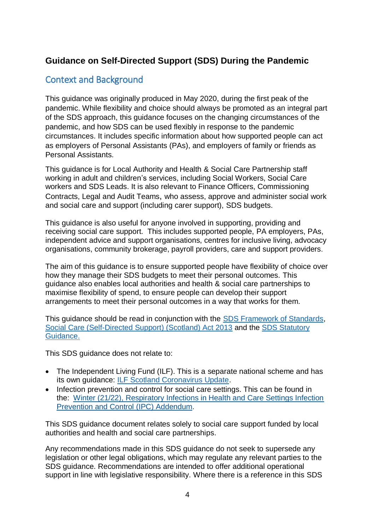#### **Guidance on Self-Directed Support (SDS) During the Pandemic**

#### <span id="page-3-0"></span>Context and Background

This guidance was originally produced in May 2020, during the first peak of the pandemic. While flexibility and choice should always be promoted as an integral part of the SDS approach, this guidance focuses on the changing circumstances of the pandemic, and how SDS can be used flexibly in response to the pandemic circumstances. It includes specific information about how supported people can act as employers of Personal Assistants (PAs), and employers of family or friends as Personal Assistants.

This guidance is for Local Authority and Health & Social Care Partnership staff working in adult and children's services, including Social Workers, Social Care workers and SDS Leads. It is also relevant to Finance Officers, Commissioning Contracts, Legal and Audit Teams, who assess, approve and administer social work and social care and support (including carer support), SDS budgets.

This guidance is also useful for anyone involved in supporting, providing and receiving social care support. This includes supported people, PA employers, PAs, independent advice and support organisations, centres for inclusive living, advocacy organisations, community brokerage, payroll providers, care and support providers.

The aim of this guidance is to ensure supported people have flexibility of choice over how they manage their SDS budgets to meet their personal outcomes. This guidance also enables local authorities and health & social care partnerships to maximise flexibility of spend, to ensure people can develop their support arrangements to meet their personal outcomes in a way that works for them.

This guidance should be read in conjunction with the [SDS Framework of Standards,](https://www.gov.scot/publications/self-directed-support-framework-standards-including-practice-statements-core-components/) [Social Care \(Self-Directed Support\) \(Scotland\) Act 2013](https://www.legislation.gov.uk/asp/2013/1/contents) and the [SDS Statutory](https://www.gov.scot/publications/statutory-guidance-accompany-social-care-self-directed-support-scotland-act-2013/)  [Guidance.](https://www.gov.scot/publications/statutory-guidance-accompany-social-care-self-directed-support-scotland-act-2013/)

This SDS guidance does not relate to:

- The Independent Living Fund (ILF). This is a separate national scheme and has its own guidance: [ILF Scotland Coronavirus Update.](https://ilf.scot/ilf-scotland-coronavirus-update-2/)
- Infection prevention and control for social care settings. This can be found in the: [Winter \(21/22\), Respiratory Infections in Health and Care Settings Infection](https://www.nipcm.scot.nhs.uk/winter-2122-respiratory-infections-in-health-and-care-settings-infection-prevention-and-control-ipc-addendum/)  [Prevention and Control \(IPC\) Addendum.](https://www.nipcm.scot.nhs.uk/winter-2122-respiratory-infections-in-health-and-care-settings-infection-prevention-and-control-ipc-addendum/)

This SDS guidance document relates solely to social care support funded by local authorities and health and social care partnerships.

Any recommendations made in this SDS guidance do not seek to supersede any legislation or other legal obligations, which may regulate any relevant parties to the SDS guidance. Recommendations are intended to offer additional operational support in line with legislative responsibility. Where there is a reference in this SDS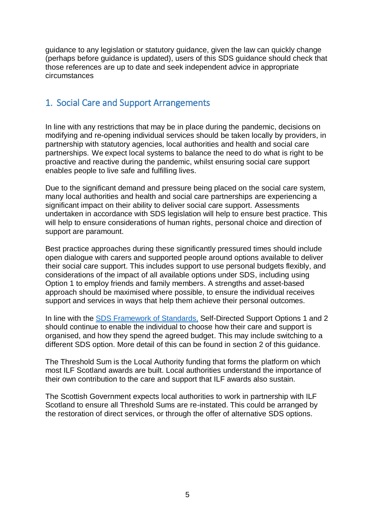guidance to any legislation or statutory guidance, given the law can quickly change (perhaps before guidance is updated), users of this SDS guidance should check that those references are up to date and seek independent advice in appropriate circumstances

#### <span id="page-4-0"></span>1. Social Care and Support Arrangements

In line with any restrictions that may be in place during the pandemic, decisions on modifying and re-opening individual services should be taken locally by providers, in partnership with statutory agencies, local authorities and health and social care partnerships. We expect local systems to balance the need to do what is right to be proactive and reactive during the pandemic, whilst ensuring social care support enables people to live safe and fulfilling lives.

Due to the significant demand and pressure being placed on the social care system, many local authorities and health and social care partnerships are experiencing a significant impact on their ability to deliver social care support. Assessments undertaken in accordance with SDS legislation will help to ensure best practice. This will help to ensure considerations of human rights, personal choice and direction of support are paramount.

Best practice approaches during these significantly pressured times should include open dialogue with carers and supported people around options available to deliver their social care support. This includes support to use personal budgets flexibly, and considerations of the impact of all available options under SDS, including using Option 1 to employ friends and family members. A strengths and asset-based approach should be maximised where possible, to ensure the individual receives support and services in ways that help them achieve their personal outcomes.

In line with the [SDS Framework of Standards,](https://www.gov.scot/publications/self-directed-support-framework-standards-including-practice-statements-core-components/) Self-Directed Support Options 1 and 2 should continue to enable the individual to choose how their care and support is organised, and how they spend the agreed budget. This may include switching to a different SDS option. More detail of this can be found in section 2 of this guidance.

The Threshold Sum is the Local Authority funding that forms the platform on which most ILF Scotland awards are built. Local authorities understand the importance of their own contribution to the care and support that ILF awards also sustain.

The Scottish Government expects local authorities to work in partnership with ILF Scotland to ensure all Threshold Sums are re-instated. This could be arranged by the restoration of direct services, or through the offer of alternative SDS options.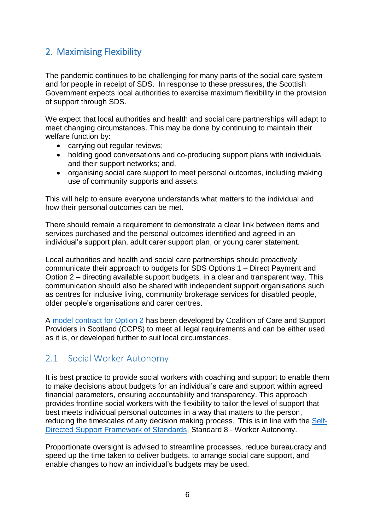#### <span id="page-5-0"></span>2. Maximising Flexibility

The pandemic continues to be challenging for many parts of the social care system and for people in receipt of SDS. In response to these pressures, the Scottish Government expects local authorities to exercise maximum flexibility in the provision of support through SDS.

We expect that local authorities and health and social care partnerships will adapt to meet changing circumstances. This may be done by continuing to maintain their welfare function by:

- carrying out regular reviews;
- holding good conversations and co-producing support plans with individuals and their support networks; and,
- organising social care support to meet personal outcomes, including making use of community supports and assets.

This will help to ensure everyone understands what matters to the individual and how their personal outcomes can be met.

There should remain a requirement to demonstrate a clear link between items and services purchased and the personal outcomes identified and agreed in an individual's support plan, adult carer support plan, or young carer statement.

Local authorities and health and social care partnerships should proactively communicate their approach to budgets for SDS Options 1 – Direct Payment and Option 2 – directing available support budgets, in a clear and transparent way. This communication should also be shared with independent support organisations such as centres for inclusive living, community brokerage services for disabled people, older people's organisations and carer centres.

A [model contract for Option 2](http://supportmesupportyou.org/search-guidance/option-2/template-contract/) has been developed by Coalition of Care and Support Providers in Scotland (CCPS) to meet all legal requirements and can be either used as it is, or developed further to suit local circumstances.

#### <span id="page-5-1"></span>2.1 Social Worker Autonomy

It is best practice to provide social workers with coaching and support to enable them to make decisions about budgets for an individual's care and support within agreed financial parameters, ensuring accountability and transparency. This approach provides frontline social workers with the flexibility to tailor the level of support that best meets individual personal outcomes in a way that matters to the person, reducing the timescales of any decision making process. This is in line with the [Self-](https://www.gov.scot/publications/self-directed-support-framework-standards-including-practice-statements-core-components/documents/)Directed Support [Framework of Standards,](https://www.gov.scot/publications/self-directed-support-framework-standards-including-practice-statements-core-components/documents/) Standard 8 - Worker Autonomy.

Proportionate oversight is advised to streamline processes, reduce bureaucracy and speed up the time taken to deliver budgets, to arrange social care support, and enable changes to how an individual's budgets may be used.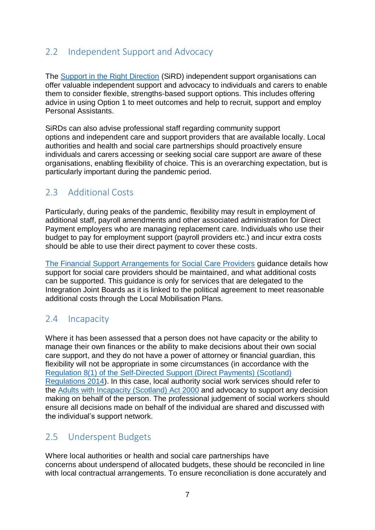#### <span id="page-6-0"></span>2.2 Independent Support and Advocacy

The [Support in the Right Direction](https://www.inspiringscotland.org.uk/what-we-do/our-funds/sird-2021/) (SiRD) independent support organisations can offer valuable independent support and advocacy to individuals and carers to enable them to consider flexible, strengths-based support options. This includes offering advice in using Option 1 to meet outcomes and help to recruit, support and employ Personal Assistants.

SiRDs can also advise professional staff regarding community support options and independent care and support providers that are available locally. Local authorities and health and social care partnerships should proactively ensure individuals and carers accessing or seeking social care support are aware of these organisations, enabling flexibility of choice. This is an overarching expectation, but is particularly important during the pandemic period.

#### <span id="page-6-1"></span>2.3 Additional Costs

Particularly, during peaks of the pandemic, flexibility may result in employment of additional staff, payroll amendments and other associated administration for Direct Payment employers who are managing replacement care. Individuals who use their budget to pay for employment support (payroll providers etc.) and incur extra costs should be able to use their direct payment to cover these costs.

[The Financial Support Arrangements for Social Care Providers](https://www.gov.scot/publications/coronavirus-covid-19-financial-support-arrangements-for-social-care-providers/) guidance details how support for social care providers should be maintained, and what additional costs can be supported. This guidance is only for services that are delegated to the Integration Joint Boards as it is linked to the political agreement to meet reasonable additional costs through the Local Mobilisation Plans.

#### <span id="page-6-2"></span>2.4 Incapacity

Where it has been assessed that a person does not have capacity or the ability to manage their own finances or the ability to make decisions about their own social care support, and they do not have a power of attorney or financial guardian, this flexibility will not be appropriate in some circumstances (in accordance with the [Regulation 8\(1\) of the Self-Directed Support](http://www.legislation.gov.uk/ssi/2014/25/regulation/8/made) (Direct Payments) (Scotland) [Regulations 2014\)](http://www.legislation.gov.uk/ssi/2014/25/regulation/8/made). In this case, local authority social work services should refer to the [Adults with Incapacity \(Scotland\) Act 2000](https://www.legislation.gov.uk/asp/2000/4/contents) and advocacy to support any decision making on behalf of the person. The professional judgement of social workers should ensure all decisions made on behalf of the individual are shared and discussed with the individual's support network.

#### <span id="page-6-3"></span>2.5 Underspent Budgets

Where local authorities or health and social care partnerships have concerns about underspend of allocated budgets, these should be reconciled in line with local contractual arrangements. To ensure reconciliation is done accurately and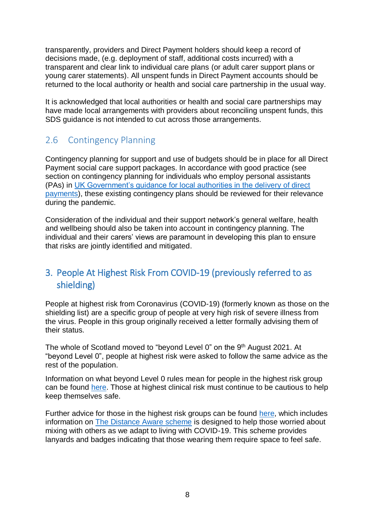transparently, providers and Direct Payment holders should keep a record of decisions made, (e.g. deployment of staff, additional costs incurred) with a transparent and clear link to individual care plans (or adult carer support plans or young carer statements). All unspent funds in Direct Payment accounts should be returned to the local authority or health and social care partnership in the usual way.

It is acknowledged that local authorities or health and social care partnerships may have made local arrangements with providers about reconciling unspent funds, this SDS guidance is not intended to cut across those arrangements.

#### <span id="page-7-0"></span>2.6 Contingency Planning

Contingency planning for support and use of budgets should be in place for all Direct Payment social care support packages. In accordance with good practice (see section on contingency planning for individuals who employ personal assistants (PAs) in [UK Government's guidance for local authorities in the delivery of direct](https://www.gov.uk/government/publications/coronavirus-covid-19-guidance-for-people-receiving-direct-payments/coronavirus-covid-19-guidance-for-people-receiving-direct-payments)  [payments\)](https://www.gov.uk/government/publications/coronavirus-covid-19-guidance-for-people-receiving-direct-payments/coronavirus-covid-19-guidance-for-people-receiving-direct-payments), these existing contingency plans should be reviewed for their relevance during the pandemic.

Consideration of the individual and their support network's general welfare, health and wellbeing should also be taken into account in contingency planning. The individual and their carers' views are paramount in developing this plan to ensure that risks are jointly identified and mitigated.

#### <span id="page-7-1"></span>3. People At Highest Risk From COVID-19 (previously referred to as shielding)

People at highest risk from Coronavirus (COVID-19) (formerly known as those on the shielding list) are a specific group of people at very high risk of severe illness from the virus. People in this group originally received a letter formally advising them of their status.

The whole of Scotland moved to "beyond Level 0" on the 9<sup>th</sup> August 2021. At "beyond Level 0", people at highest risk were asked to follow the same advice as the rest of the population.

Information on what beyond Level 0 rules mean for people in the highest risk group can be found [here.](https://www.gov.scot/news/scotland-to-move-beyond-level-0/) Those at highest clinical risk must continue to be cautious to help keep themselves safe.

Further advice for those in the highest risk groups can be found [here,](https://www.mygov.scot/covid-highest-risk) which includes information on [The Distance Aware scheme](https://www.gov.scot/publications/coronavirus-covid-19-distance-aware-scheme/) is designed to help those worried about mixing with others as we adapt to living with COVID-19. This scheme provides lanyards and badges indicating that those wearing them require space to feel safe.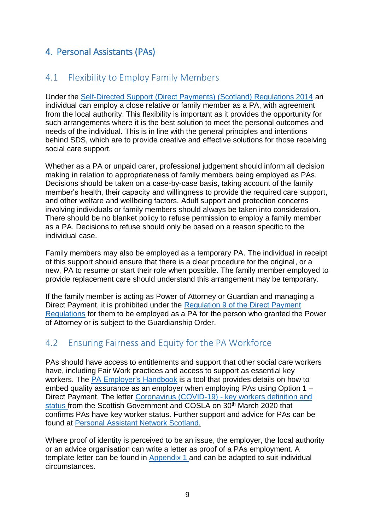#### <span id="page-8-0"></span>4. Personal Assistants (PAs)

#### <span id="page-8-1"></span>4.1 Flexibility to Employ Family Members

Under the Self-Directed Support [\(Direct Payments\) \(Scotland\) Regulations 2014](https://www.legislation.gov.uk/ssi/2014/25/made) an individual can employ a close relative or family member as a PA, with agreement from the local authority. This flexibility is important as it provides the opportunity for such arrangements where it is the best solution to meet the personal outcomes and needs of the individual. This is in line with the general principles and intentions behind SDS, which are to provide creative and effective solutions for those receiving social care support.

Whether as a PA or unpaid carer, professional judgement should inform all decision making in relation to appropriateness of family members being employed as PAs. Decisions should be taken on a case-by-case basis, taking account of the family member's health, their capacity and willingness to provide the required care support, and other welfare and wellbeing factors. Adult support and protection concerns involving individuals or family members should always be taken into consideration. There should be no blanket policy to refuse permission to employ a family member as a PA. Decisions to refuse should only be based on a reason specific to the individual case.

Family members may also be employed as a temporary PA. The individual in receipt of this support should ensure that there is a clear procedure for the original, or a new, PA to resume or start their role when possible. The family member employed to provide replacement care should understand this arrangement may be temporary.

If the family member is acting as Power of Attorney or Guardian and managing a Direct Payment, it is prohibited under the [Regulation 9 of the Direct Payment](https://www.legislation.gov.uk/ssi/2014/25/regulation/9/made)  [Regulations](https://www.legislation.gov.uk/ssi/2014/25/regulation/9/made) for them to be employed as a PA for the person who granted the Power of Attorney or is subject to the Guardianship Order.

#### <span id="page-8-2"></span>4.2 Ensuring Fairness and Equity for the PA Workforce

PAs should have access to entitlements and support that other social care workers have, including Fair Work practices and access to support as essential key workers. The [PA Employer's Handbook](https://paemployer.handbook.scot/) is a tool that provides details on how to embed quality assurance as an employer when employing PAs using Option 1 – Direct Payment. The letter Coronavirus (COVID-19) - [key workers definition and](https://www.gov.scot/publications/coronavirus-covid-19---key-workers-definition-and-status-letter-from-cabinet-secretary-and-cosla/)  [status](https://www.gov.scot/publications/coronavirus-covid-19---key-workers-definition-and-status-letter-from-cabinet-secretary-and-cosla/) from the Scottish Government and COSLA on 30<sup>th</sup> March 2020 that confirms PAs have key worker status. Further support and advice for PAs can be found at [Personal Assistant Network Scotland.](https://www.panetworkscotland.org.uk/) 

Where proof of identity is perceived to be an issue, the employer, the local authority or an advice organisation can write a letter as proof of a PAs employment. A template letter can be found in [Appendix](#page-13-0) 1 and can be adapted to suit individual circumstances.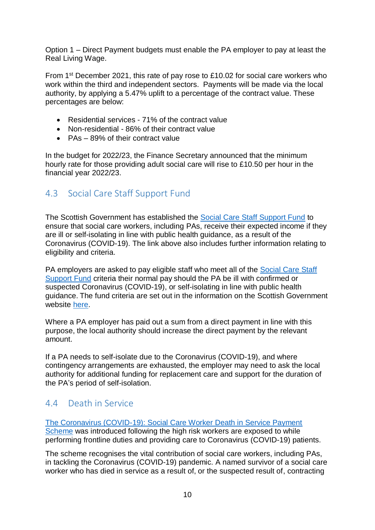Option 1 – Direct Payment budgets must enable the PA employer to pay at least the Real Living Wage.

From 1<sup>st</sup> December 2021, this rate of pay rose to £10.02 for social care workers who work within the third and independent sectors. Payments will be made via the local authority, by applying a 5.47% uplift to a percentage of the contract value. These percentages are below:

- Residential services 71% of the contract value
- Non-residential 86% of their contract value
- PAs 89% of their contract value

In the budget for 2022/23, the Finance Secretary announced that the minimum hourly rate for those providing adult social care will rise to £10.50 per hour in the financial year 2022/23.

#### <span id="page-9-0"></span>4.3 Social Care Staff Support Fund

The Scottish Government has established the [Social Care Staff Support Fund](https://www.gov.scot/publications/coronavirus-covid-19-social-care-staff-support-fund-guidance/pages/overview/) to ensure that social care workers, including PAs, receive their expected income if they are ill or self-isolating in line with public health guidance, as a result of the Coronavirus (COVID-19). The link above also includes further information relating to eligibility and criteria.

PA employers are asked to pay eligible staff who meet all of the Social Care Staff [Support Fund](https://www.gov.scot/publications/coronavirus-covid-19-social-care-staff-support-fund-guidance/pages/overview/) criteria their normal pay should the PA be ill with confirmed or suspected Coronavirus (COVID-19), or self-isolating in line with public health guidance. The fund criteria are set out in the information on the Scottish Government website [here.](https://www.gov.scot/publications/coronavirus-covid-19-social-care-staff-support-fund-guidance/pages/fund-criteria/)

Where a PA employer has paid out a sum from a direct payment in line with this purpose, the local authority should increase the direct payment by the relevant amount.

If a PA needs to self-isolate due to the Coronavirus (COVID-19), and where contingency arrangements are exhausted, the employer may need to ask the local authority for additional funding for replacement care and support for the duration of the PA's period of self-isolation.

#### <span id="page-9-1"></span>4.4 Death in Service

[The Coronavirus \(COVID-19\): Social Care Worker Death in Service Payment](https://www.gov.scot/publications/coronavirus-covid-19-social-care-worker-death-in-service-payment/)  [Scheme](https://www.gov.scot/publications/coronavirus-covid-19-social-care-worker-death-in-service-payment/) was introduced following the high risk workers are exposed to while performing frontline duties and providing care to Coronavirus (COVID-19) patients.

The scheme recognises the vital contribution of social care workers, including PAs, in tackling the Coronavirus (COVID-19) pandemic. A named survivor of a social care worker who has died in service as a result of, or the suspected result of, contracting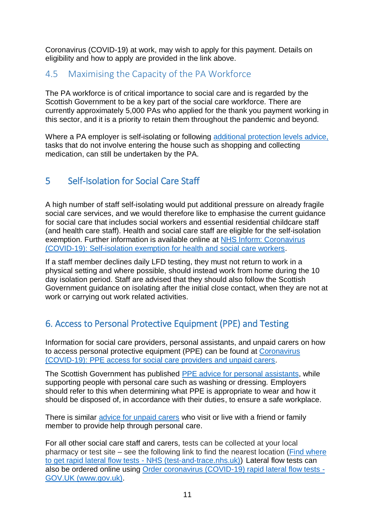Coronavirus (COVID-19) at work, may wish to apply for this payment. Details on eligibility and how to apply are provided in the link above.

#### <span id="page-10-0"></span>4.5 Maximising the Capacity of the PA Workforce

The PA workforce is of critical importance to social care and is regarded by the Scottish Government to be a key part of the social care workforce. There are currently approximately 5,000 PAs who applied for the thank you payment working in this sector, and it is a priority to retain them throughout the pandemic and beyond.

Where a PA employer is self-isolating or following [additional protection levels advice,](https://www.gov.scot/publications/covid-shielding/pages/levels-advice/) tasks that do not involve entering the house such as shopping and collecting medication, can still be undertaken by the PA.

#### <span id="page-10-1"></span>5 Self-Isolation for Social Care Staff

A high number of staff self-isolating would put additional pressure on already fragile social care services, and we would therefore like to emphasise the current quidance for social care that includes social workers and essential residential childcare staff (and health care staff). Health and social care staff are eligible for the self-isolation exemption. Further information is available online at [NHS Inform: Coronavirus](https://www.nhsinform.scot/illnesses-and-conditions/infections-and-poisoning/coronavirus-covid-19/test-and-protect/coronavirus-covid-19-self-isolation-exemption-for-health-and-social-care-workers)  [\(COVID-19\): Self-isolation exemption for health and social care workers.](https://www.nhsinform.scot/illnesses-and-conditions/infections-and-poisoning/coronavirus-covid-19/test-and-protect/coronavirus-covid-19-self-isolation-exemption-for-health-and-social-care-workers)

If a staff member declines daily LFD testing, they must not return to work in a physical setting and where possible, should instead work from home during the 10 day isolation period. Staff are advised that they should also follow the Scottish Government guidance on isolating after the initial close contact, when they are not at work or carrying out work related activities.

### <span id="page-10-2"></span>6. Access to Personal Protective Equipment (PPE) and Testing

Information for social care providers, personal assistants, and unpaid carers on how to access personal protective equipment (PPE) can be found at [Coronavirus](https://www.gov.scot/publications/ppe-access-for-social-care-providers-and-unpaid-carers/)  [\(COVID-19\): PPE access for social care providers and unpaid carers.](https://www.gov.scot/publications/ppe-access-for-social-care-providers-and-unpaid-carers/)

The Scottish Government has published [PPE advice for personal assistants,](https://www.gov.scot/publications/coronavirus-covid-19-ppe-for-personal-assistants/) while supporting people with personal care such as washing or dressing. Employers should refer to this when determining what PPE is appropriate to wear and how it should be disposed of, in accordance with their duties, to ensure a safe workplace.

There is similar [advice for unpaid carers](https://www.gov.scot/publications/coronavirus-covid-19-advice-for-unpaid-carers-providing-personal-care/) who visit or live with a friend or family member to provide help through personal care.

For all other social care staff and carers, tests can be collected at your local pharmacy or test site – see the following link to find the nearest location [\(Find where](https://maps.test-and-trace.nhs.uk/)  [to get rapid lateral flow tests -](https://maps.test-and-trace.nhs.uk/) NHS (test-and-trace.nhs.uk)) Lateral flow tests can also be ordered online using [Order coronavirus \(COVID-19\) rapid lateral flow tests -](https://www.gov.uk/order-coronavirus-rapid-lateral-flow-tests) [GOV.UK \(www.gov.uk\).](https://www.gov.uk/order-coronavirus-rapid-lateral-flow-tests)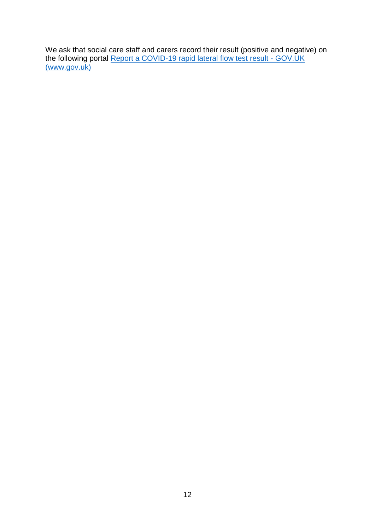We ask that social care staff and carers record their result (positive and negative) on the following portal [Report a COVID-19 rapid lateral flow test result -](https://www.gov.uk/report-covid19-result) GOV.UK [\(www.gov.uk\)](https://www.gov.uk/report-covid19-result)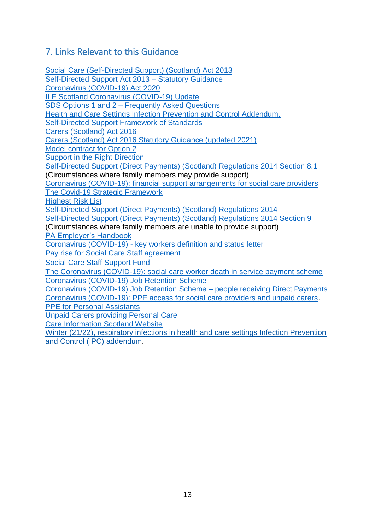#### <span id="page-12-0"></span>7. Links Relevant to this Guidance

[Social Care \(Self-Directed Support\) \(Scotland\) Act 2013](https://www.legislation.gov.uk/asp/2013/1/contents) [Self-Directed Support](https://www.gov.scot/publications/statutory-guidance-accompany-social-care-self-directed-support-scotland-act-2013/) Act 2013 – Statutory Guidance [Coronavirus \(COVID-19\) Act 2020](https://www.legislation.gov.uk/ukpga/2020/7/contents/enacted) [ILF Scotland Coronavirus \(COVID-19\) Update](https://ilf.scot/ilf-scotland-coronavirus-update-2/) SDS Options 1 and 2 – [Frequently Asked Questions](https://socialworkscotland.org/briefings/faqs-for-sds-option-1-and-2/) [Health and Care Settings Infection Prevention and Control Addendum.](http://www.nipcm.scot.nhs.uk/scottish-covid-19-community-health-and-care-settings-infection-prevention-and-control-addendum/) Self-Directed Support [Framework of Standards](https://www.gov.scot/publications/self-directed-support-framework-standards-including-practice-statements-core-components/) [Carers \(Scotland\) Act 2016](https://www.legislation.gov.uk/asp/2016/9/contents) [Carers \(Scotland\) Act 2016 Statutory Guidance \(updated 2021\)](https://www.gov.scot/publications/carers-scotland-act-2016-statutory-guidance-updated-july-2021/) [Model contract for Option 2](http://supportmesupportyou.org/search-guidance/option-2/template-contract/) [Support in the Right Direction](https://www.inspiringscotland.org.uk/what-we-do/our-funds/sird-2021/) Self-Directed Support [\(Direct Payments\) \(Scotland\) Regulations 2014 Section 8.1](http://www.legislation.gov.uk/ssi/2014/25/regulation/8/made) (Circumstances where family members may provide support) [Coronavirus \(COVID-19\): financial support arrangements for social care providers](https://www.gov.scot/publications/coronavirus-covid-19-financial-support-arrangements-for-social-care-providers/) [The Covid-19 Strategic Framework](https://www.gov.scot/publications/coronavirus-covid-19-strategic-framework-update-february-2021/) [Highest Risk List](https://www.mygov.scot/covid-highest-risk) Self-Directed Support [\(Direct Payments\) \(Scotland\) Regulations 2014](https://www.legislation.gov.uk/ssi/2014/25/introduction/made) Self-Directed Support [\(Direct Payments\) \(Scotland\) Regulations 2014 Section 9](https://www.legislation.gov.uk/ssi/2014/25/regulation/9/made) (Circumstances where family members are unable to provide support) [PA Employer's Handbook](https://paemployer.handbook.scot/) Coronavirus (COVID-19) - [key workers definition and status](https://www.gov.scot/publications/coronavirus-covid-19---key-workers-definition-and-status-letter-from-cabinet-secretary-and-cosla/) letter [Pay rise for Social Care Staff agreement](https://www.gov.scot/news/over-gbp-300-million-new-winter-investment-for-health-and-care/) [Social Care Staff Support Fund](https://www.gov.scot/publications/coronavirus-covid-19-social-care-staff-support-fund-guidance/pages/overview/) [The Coronavirus \(COVID-19\): social care worker death in service payment scheme](https://www.gov.scot/publications/coronavirus-covid-19-social-care-worker-death-in-service-payment/) [Coronavirus \(COVID-19\) Job Retention Scheme](https://www.gov.uk/government/collections/coronavirus-job-retention-scheme) [Coronavirus \(COVID-19\) Job Retention Scheme –](https://www.gov.uk/government/publications/coronavirus-job-retention-scheme-people-receiving-direct-payments) people receiving Direct Payments [Coronavirus \(COVID-19\): PPE access for social care providers and unpaid carers.](https://www.gov.scot/publications/ppe-access-for-social-care-providers-and-unpaid-carers/) [PPE for Personal Assistants](https://www.gov.scot/publications/coronavirus-covid-19-ppe-for-personal-assistants/) [Unpaid Carers providing Personal Care](https://www.gov.scot/publications/coronavirus-covid-19-advice-for-unpaid-carers-providing-personal-care/) [Care Information Scotland Website](http://www.careinfoscotland.scot/topics/support-for-carers/carer-centres) [Winter \(21/22\), respiratory infections in health and care settings Infection Prevention](https://www.nipcm.scot.nhs.uk/winter-2122-respiratory-infections-in-health-and-care-settings-infection-prevention-and-control-ipc-addendum/)  [and Control \(IPC\) addendum.](https://www.nipcm.scot.nhs.uk/winter-2122-respiratory-infections-in-health-and-care-settings-infection-prevention-and-control-ipc-addendum/)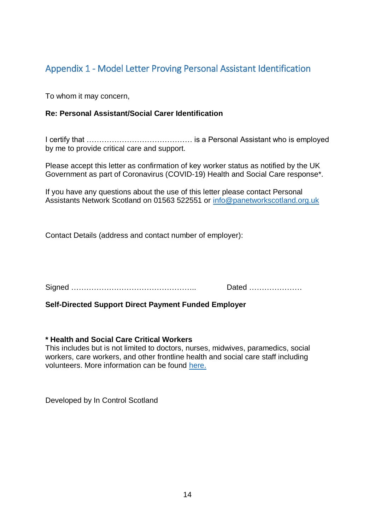#### <span id="page-13-0"></span>Appendix 1 - Model Letter Proving Personal Assistant Identification

To whom it may concern,

#### **Re: Personal Assistant/Social Carer Identification**

I certify that …………………………………… is a Personal Assistant who is employed by me to provide critical care and support.

Please accept this letter as confirmation of key worker status as notified by the UK Government as part of Coronavirus (COVID-19) Health and Social Care response\*.

If you have any questions about the use of this letter please contact Personal Assistants Network Scotland on 01563 522551 or [info@panetworkscotland.org.uk](mailto:info@panetworkscotland.org.uk)

Contact Details (address and contact number of employer):

Signed ………………………………………….. Dated …………………

**Self-Directed Support Direct Payment Funded Employer** 

#### **\* Health and Social Care Critical Workers**

This includes but is not limited to doctors, nurses, midwives, paramedics, social workers, care workers, and other frontline health and social care staff including volunteers. More information can be found [here.](https://www.gov.uk/government/publications/coronavirus-covid-19-maintaining-educational-provision/guidance-for-schools-colleges-and-local-authorities-on-maintaining-educational-provision)

Developed by In Control Scotland